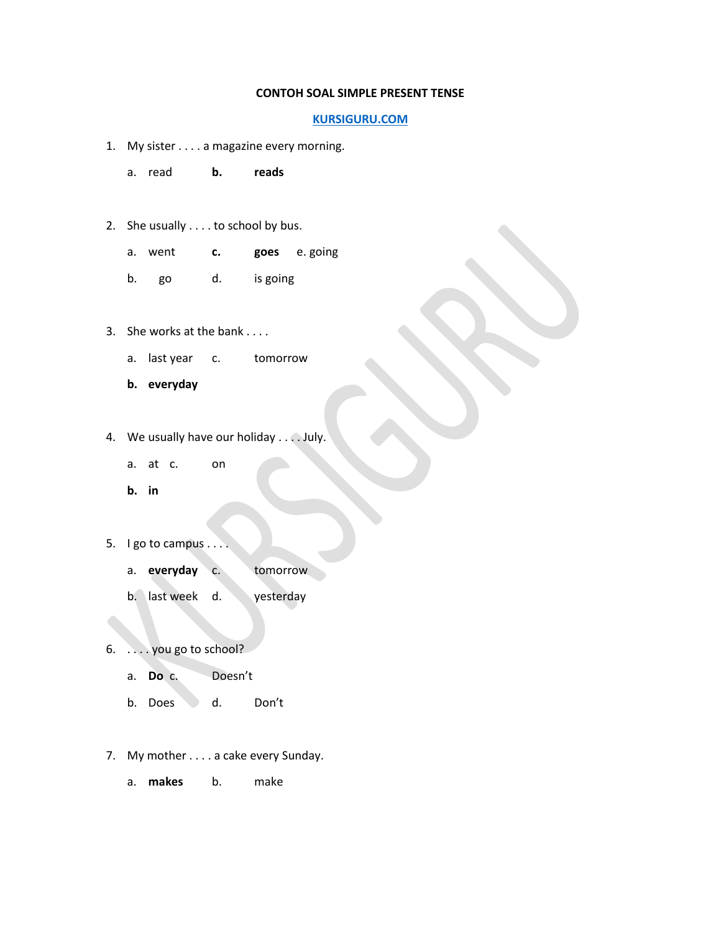## **CONTOH SOAL SIMPLE PRESENT TENSE**

## **[KURSIGURU.COM](http://www.kursiguru.com/)**

- 1. My sister . . . . a magazine every morning.
	- a. read **b. reads**
- 2. She usually . . . . to school by bus.
	- a. went **c. goes** e. going
	- b. go d. is going
- 3. She works at the bank . . . .
	- a. last year c. tomorrow
	- **b. everyday**
- 4. We usually have our holiday . . . . July.
	- a. at c. on
	- **b. in**
- 5. I go to campus . . . .
	- a. **everyday** c. tomorrow
	- b. last week d. yesterday
- 6. . . . . you go to school?
	- a. **Do** c. Doesn't
	- b. Does d. Don't
- 7. My mother . . . . a cake every Sunday.
	- a. **makes** b. make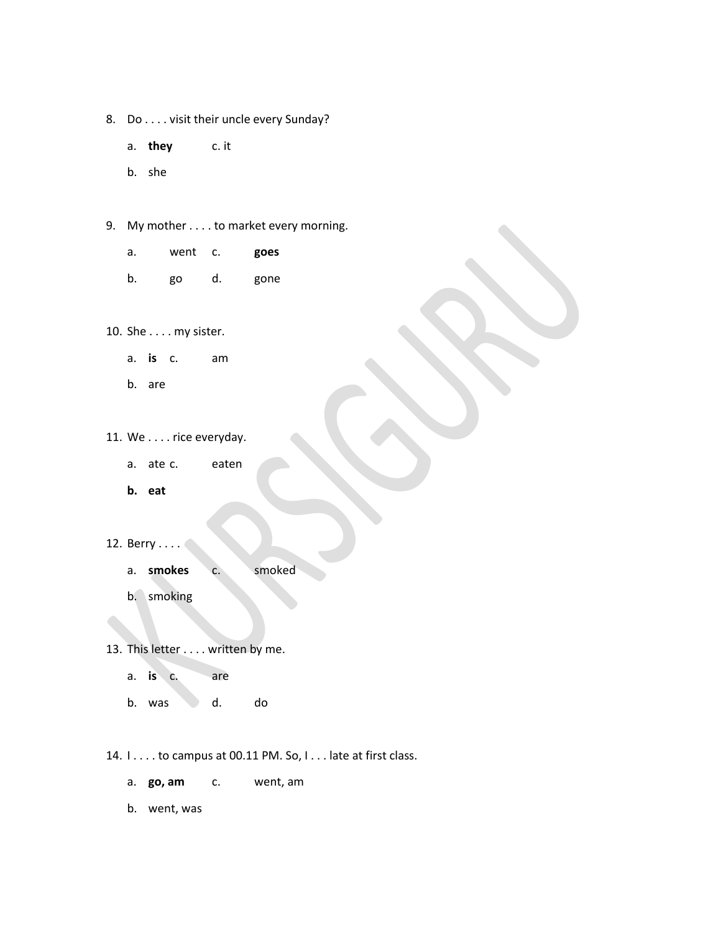- 8. Do . . . . visit their uncle every Sunday?
	- a. **they** c. it
	- b. she
- 9. My mother . . . . to market every morning.
	- a. went c. **goes**
	- b. go d. gone
- 10. She . . . . my sister.
	- a. **is** c. am
	- b. are

11. We . . . . rice everyday.

- a. ate c. eaten
- **b. eat**
- 12. Berry . . . .
	- a. **smokes** c. smoked
	- b. smoking
- 13. This letter . . . . written by me.
	- a. **is** c. are
	- b. was d. do
- 14. I . . . . to campus at 00.11 PM. So, I . . . late at first class.
	- a. **go, am** c. went, am
	- b. went, was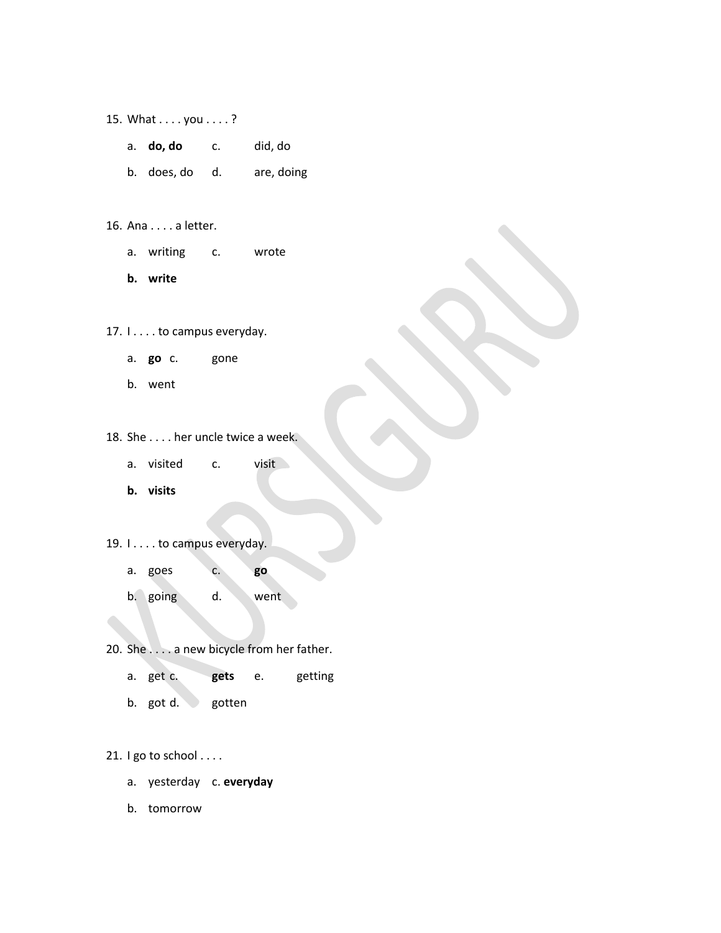- 15. What . . . . you . . . . ?
	- a. **do, do** c. did, do
	- b. does, do d. are, doing
- 16. Ana . . . . a letter.
	- a. writing c. wrote
	- **b. write**
- 17. I . . . . to campus everyday.
	- a. **go** c. gone
	- b. went

18. She . . . . her uncle twice a week.

- a. visited c. visit
- **b. visits**
- 19. I . . . . to campus everyday.
	- a. goes c. **go**
	- b. going d. went
- 20. She . . . . a new bicycle from her father.
	- a. get c. **gets** e. getting
	- b. got d. gotten

21. I go to school . . . .

- a. yesterday c. **everyday**
- b. tomorrow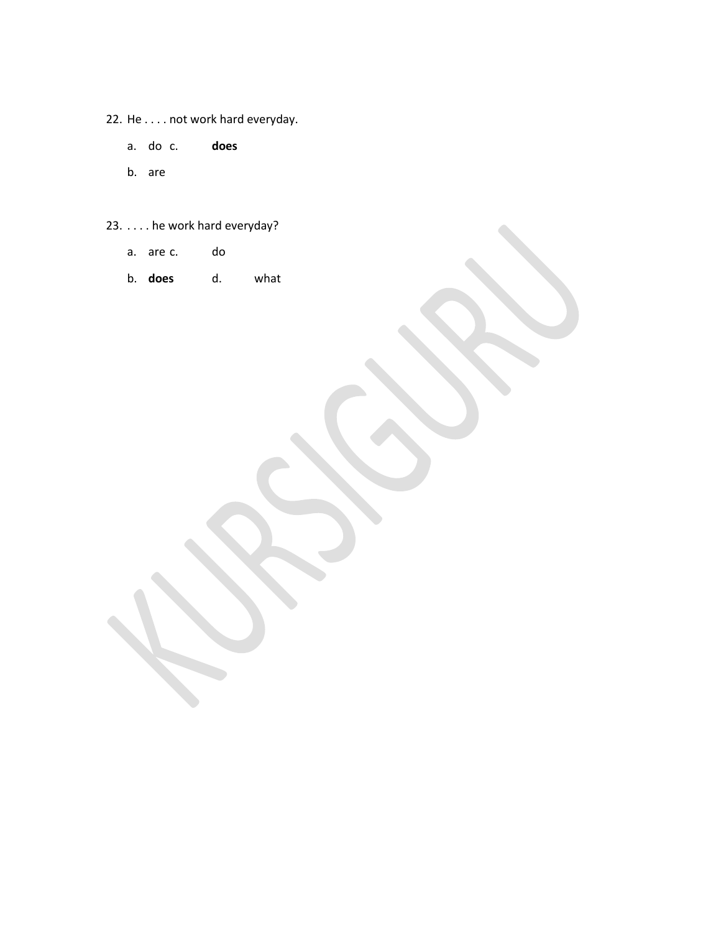- 22. He . . . . not work hard everyday.
	- a. do c. **does**
	- b. are
- 23. . . . . he work hard everyday?
	- a. are c. do
	- b. **does** d. what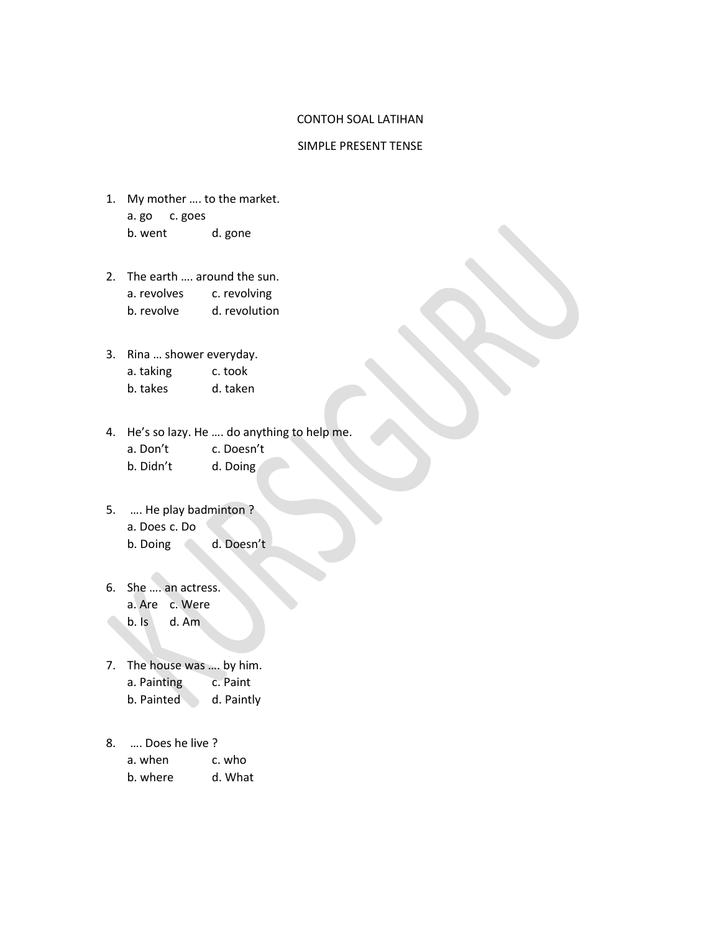## CONTOH SOAL LATIHAN

## SIMPLE PRESENT TENSE

- 1. My mother …. to the market. a. go c. goes b. went d. gone
- 2. The earth …. around the sun. a. revolves c. revolving b. revolve d. revolution
- 3. Rina … shower everyday. a. taking c. took
	- b. takes d. taken
- 4. He's so lazy. He …. do anything to help me.
	- a. Don't c. Doesn't
	- b. Didn't d. Doing
- 5. …. He play badminton ? a. Does c. Do b. Doing d. Doesn't
- 6. She …. an actress. a. Are c. Were b. Is d. Am
- 7. The house was …. by him. a. Painting c. Paint b. Painted d. Paintly
- 8. …. Does he live ?

| a. when  | c. who  |
|----------|---------|
| b. where | d. What |